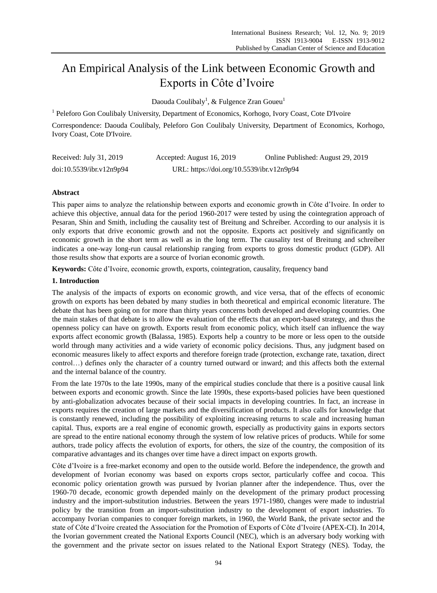# An Empirical Analysis of the Link between Economic Growth and Exports in Côte d'Ivoire

Daouda Coulibaly<sup>1</sup>, & Fulgence Zran Goueu<sup>1</sup>

<sup>1</sup> Peleforo Gon Coulibaly University, Department of Economics, Korhogo, Ivory Coast, Cote D'Ivoire

Correspondence: Daouda Coulibaly, Peleforo Gon Coulibaly University, Department of Economics, Korhogo, Ivory Coast, Cote D'Ivoire.

| Received: July 31, 2019  | Accepted: August 16, 2019                 | Online Published: August 29, 2019 |
|--------------------------|-------------------------------------------|-----------------------------------|
| doi:10.5539/ibr.v12n9p94 | URL: https://doi.org/10.5539/ibr.v12n9p94 |                                   |

# **Abstract**

This paper aims to analyze the relationship between exports and economic growth in Côte d'Ivoire. In order to achieve this objective, annual data for the period 1960-2017 were tested by using the cointegration approach of Pesaran, Shin and Smith, including the causality test of Breitung and Schreiber. According to our analysis it is only exports that drive economic growth and not the opposite. Exports act positively and significantly on economic growth in the short term as well as in the long term. The causality test of Breitung and schreiber indicates a one-way long-run causal relationship ranging from exports to gross domestic product (GDP). All those results show that exports are a source of Ivorian economic growth.

**Keywords:** Côte d'Ivoire, economic growth, exports, cointegration, causality, frequency band

# **1. Introduction**

The analysis of the impacts of exports on economic growth, and vice versa, that of the effects of economic growth on exports has been debated by many studies in both theoretical and empirical economic literature. The debate that has been going on for more than thirty years concerns both developed and developing countries. One the main stakes of that debate is to allow the evaluation of the effects that an export-based strategy, and thus the openness policy can have on growth. Exports result from economic policy, which itself can influence the way exports affect economic growth (Balassa, 1985). Exports help a country to be more or less open to the outside world through many activities and a wide variety of economic policy decisions. Thus, any judgment based on economic measures likely to affect exports and therefore foreign trade (protection, exchange rate, taxation, direct control…) defines only the character of a country turned outward or inward; and this affects both the external and the internal balance of the country.

From the late 1970s to the late 1990s, many of the empirical studies conclude that there is a positive causal link between exports and economic growth. Since the late 1990s, these exports-based policies have been questioned by anti-globalization advocates because of their social impacts in developing countries. In fact, an increase in exports requires the creation of large markets and the diversification of products. It also calls for knowledge that is constantly renewed, including the possibility of exploiting increasing returns to scale and increasing human capital. Thus, exports are a real engine of economic growth, especially as productivity gains in exports sectors are spread to the entire national economy through the system of low relative prices of products*.* While for some authors, trade policy affects the evolution of exports, for others, the size of the country, the composition of its comparative advantages and its changes over time have a direct impact on exports growth.

Côte d'Ivoire is a free-market economy and open to the outside world. Before the independence, the growth and development of Ivorian economy was based on exports crops sector, particularly coffee and cocoa. This economic policy orientation growth was pursued by Ivorian planner after the independence. Thus, over the 1960-70 decade, economic growth depended mainly on the development of the primary product processing industry and the import-substitution industries. Between the years 1971-1980, changes were made to industrial policy by the transition from an import-substitution industry to the development of export industries. To accompany Ivorian companies to conquer foreign markets, in 1960, the World Bank, the private sector and the state of Côte d'Ivoire created the Association for the Promotion of Exports of Côte d'Ivoire (APEX-CI). In 2014, the Ivorian government created the National Exports Council (NEC), which is an adversary body working with the government and the private sector on issues related to the National Export Strategy (NES). Today, the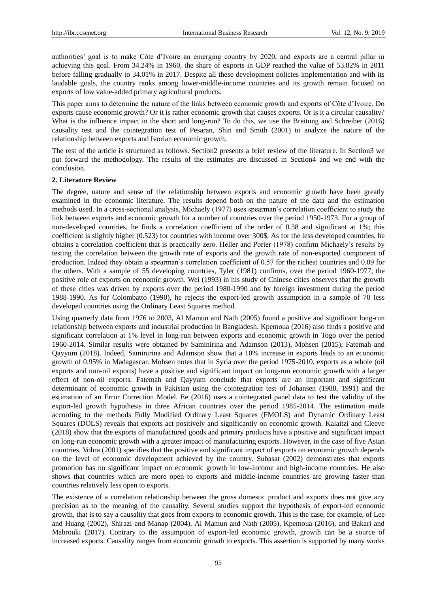authorities' goal is to make Côte d'Ivoire an emerging country by 2020, and exports are a central pillar in achieving this goal. From 34.24% in 1960, the share of exports in GDP reached the value of 53.82% in 2011 before falling gradually to 34.01% in 2017. Despite all these development policies implementation and with its laudable goals, the country ranks among lower-middle-income countries and its growth remain focused on exports of low value-added primary agricultural products.

This paper aims to determine the nature of the links between economic growth and exports of Côte d'Ivoire. Do exports cause economic growth? Or it is rather economic growth that causes exports. Or is it a circular causality? What is the influence impact in the short and long-run? To do this, we use the Breitung and Schreiber (2016) causality test and the cointegration test of Pesaran, Shin and Smith (2001) to analyze the nature of the relationship between exports and Ivorian economic growth.

The rest of the article is structured as follows. Section2 presents a brief review of the literature. In Section3 we put forward the methodology. The results of the estimates are discussed in Section4 and we end with the conclusion.

## **2. Literature Review**

The degree, nature and sense of the relationship between exports and economic growth have been greatly examined in the economic literature. The results depend both on the nature of the data and the estimation methods used. In a cross-sectional analysis, Michaely (1977) uses spearman's correlation coefficient to study the link between exports and economic growth for a number of countries over the period 1950-1973. For a group of non-developed countries, he finds a correlation coefficient of the order of 0.38 and significant at 1%; this coefficient is slightly higher (0.523) for countries with income over 300\$. As for the less developed countries, he obtains a correlation coefficient that is practically zero. Heller and Porter (1978) confirm Michaely's results by testing the correlation between the growth rate of exports and the growth rate of non-exported component of production. Indeed they obtain a spearman's correlation coefficient of 0.57 for the richest countries and 0.09 for the others. With a sample of 55 developing countries, Tyler (1981) confirms, over the period 1960-1977, the positive role of exports on economic growth. Wei (1993) in his study of Chinese cities observes that the growth of these cities was driven by exports over the period 1980-1990 and by foreign investment during the period 1988-1990. As for Colombatto (1990), he rejects the export-led growth assumption in a sample of 70 less developed countries using the Ordinary Least Squares method.

Using quarterly data from 1976 to 2003, Al Mamun and Nath (2005) found a positive and significant long-run relationship between exports and industrial production in Bangladesh. Kpemoua (2016) also finds a positive and significant correlation at 1% level in long-run between exports and economic growth in Togo over the period 1960-2014. Similar results were obtained by Saminirina and Adamson (2013), Mohsen (2015), Fatemah and Qayyum (2018). Indeed, Saminirina and Adamson show that a 10% increase in exports leads to an economic growth of 0.95% in Madagascar. Mohsen notes that in Syria over the period 1975-2010, exports as a whole (oil exports and non-oil exports) have a positive and significant impact on long-run economic growth with a larger effect of non-oil exports. Fatemah and Qayyum conclude that exports are an important and significant determinant of economic growth in Pakistan using the cointegration test of Johansen (1988, 1991) and the estimation of an Error Correction Model. Ee (2016) uses a cointegrated panel data to test the validity of the export-led growth hypothesis in three African countries over the period 1985-2014. The estimation made according to the methods Fully Modified Ordinary Least Squares (FMOLS) and Dynamic Ordinary Least Squares (DOLS) reveals that exports act positively and significantly on economic growth. Kalaitzi and Cleeve (2018) show that the exports of manufactured goods and primary products have a positive and significant impact on long-run economic growth with a greater impact of manufacturing exports. However, in the case of five Asian countries, Vohra (2001) specifies that the positive and significant impact of exports on economic growth depends on the level of economic development achieved by the country. Subasat (2002) demonstrates that exports promotion has no significant impact on economic growth in low-income and high-income countries. He also shows that countries which are more open to exports and middle-income countries are growing faster than countries relatively less open to exports.

The existence of a correlation relationship between the gross domestic product and exports does not give any precision as to the meaning of the causality. Several studies support the hypothesis of export-led economic growth, that is to say a causality that goes from exports to economic growth. This is the case, for example, of Lee and Huang (2002), Shirazi and Manap (2004), Al Mamun and Nath (2005), Kpemoua (2016), and Bakari and Mabrouki (2017). Contrary to the assumption of export-led economic growth, growth can be a source of increased exports. Causality ranges from economic growth to exports. This assertion is supported by many works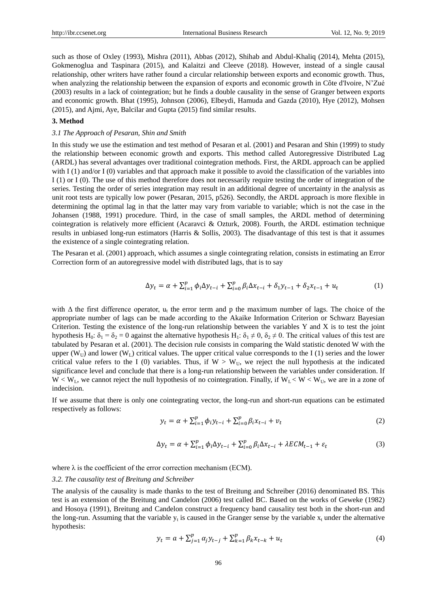such as those of Oxley (1993), Mishra (2011), Abbas (2012), Shihab and Abdul-Khaliq (2014), Mehta (2015), Gokmenoglua and Taspinara (2015), and Kalaitzi and Cleeve (2018). However, instead of a single causal relationship, other writers have rather found a circular relationship between exports and economic growth. Thus, when analyzing the relationship between the expansion of exports and economic growth in Côte d'Ivoire, N'Zué (2003) results in a lack of cointegration; but he finds a double causality in the sense of Granger between exports and economic growth. Bhat (1995), Johnson (2006), Elbeydi, Hamuda and Gazda (2010), Hye (2012), Mohsen (2015), and Ajmi, Aye, Balcilar and Gupta (2015) find similar results.

## **3. Method**

## *3.1 The Approach of Pesaran, Shin and Smith*

In this study we use the estimation and test method of Pesaran et al. (2001) and Pesaran and Shin (1999) to study the relationship between economic growth and exports. This method called Autoregressive Distributed Lag (ARDL) has several advantages over traditional cointegration methods. First, the ARDL approach can be applied with I (1) and/or I (0) variables and that approach make it possible to avoid the classification of the variables into I (1) or I (0). The use of this method therefore does not necessarily require testing the order of integration of the series. Testing the order of series integration may result in an additional degree of uncertainty in the analysis as unit root tests are typically low power (Pesaran, 2015, p526). Secondly, the ARDL approach is more flexible in determining the optimal lag in that the latter may vary from variable to variable; which is not the case in the Johansen (1988, 1991) procedure. Third, in the case of small samples, the ARDL method of determining cointegration is relatively more efficient (Acaravci & Ozturk, 2008). Fourth, the ARDL estimation technique results in unbiased long-run estimators (Harris & Sollis, 2003). The disadvantage of this test is that it assumes the existence of a single cointegrating relation.

The Pesaran et al. (2001) approach, which assumes a single cointegrating relation, consists in estimating an Error Correction form of an autoregressive model with distributed lags, that is to say

$$
\Delta y_t = \alpha + \sum_{i=1}^p \phi_i \Delta y_{t-i} + \sum_{i=0}^p \beta_i \Delta x_{t-i} + \delta_1 y_{t-1} + \delta_2 x_{t-1} + u_t \tag{1}
$$

with  $\Delta$  the first difference operator,  $u_t$  the error term and p the maximum number of lags. The choice of the appropriate number of lags can be made according to the Akaike Information Criterion or Schwarz Bayesian Criterion. Testing the existence of the long-run relationship between the variables Y and X is to test the joint hypothesis H<sub>0</sub>:  $\delta_1 = \delta_2 = 0$  against the alternative hypothesis H<sub>1</sub>:  $\delta_1 \neq 0$ ,  $\delta_2 \neq 0$ . The critical values of this test are tabulated by Pesaran et al. (2001). The decision rule consists in comparing the Wald statistic denoted W with the upper ( $W_U$ ) and lower ( $W_L$ ) critical values. The upper critical value corresponds to the I (1) series and the lower critical value refers to the I (0) variables. Thus, if  $W > W_{U}$ , we reject the null hypothesis at the indicated significance level and conclude that there is a long-run relationship between the variables under consideration. If  $W < W_L$ , we cannot reject the null hypothesis of no cointegration. Finally, if  $W_L < W < W_U$ , we are in a zone of indecision.

If we assume that there is only one cointegrating vector, the long-run and short-run equations can be estimated respectively as follows:

$$
y_t = \alpha + \sum_{i=1}^p \phi_i y_{t-i} + \sum_{i=0}^p \beta_i x_{t-i} + v_t
$$
 (2)

$$
\Delta y_t = \alpha + \sum_{i=1}^p \phi_i \Delta y_{t-i} + \sum_{i=0}^p \beta_i \Delta x_{t-i} + \lambda E C M_{t-1} + \varepsilon_t
$$
\n(3)

where  $\lambda$  is the coefficient of the error correction mechanism (ECM).

#### *3.2. The causality test of Breitung and Schreiber*

The analysis of the causality is made thanks to the test of Breitung and Schreiber (2016) denominated BS. This test is an extension of the Breitung and Candelon (2006) test called BC. Based on the works of Geweke (1982) and Hosoya (1991), Breitung and Candelon construct a frequency band causality test both in the short-run and the long-run. Assuming that the variable  $y_t$  is caused in the Granger sense by the variable  $x_t$  under the alternative hypothesis:

$$
y_t = a + \sum_{j=1}^p \alpha_j y_{t-j} + \sum_{k=1}^p \beta_k x_{t-k} + u_t
$$
\n(4)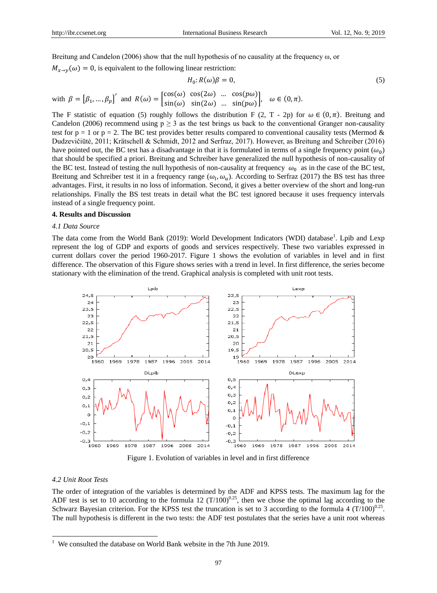Breitung and Candelon (2006) show that the null hypothesis of no causality at the frequency  $\omega$ , or

 $M_{x\to y}(\omega) = 0$ , is equivalent to the following linear restriction:

$$
H_0: R(\omega)\beta = 0,\t\t(5)
$$

with 
$$
\beta = [\beta_1, ..., \beta_p]'
$$
 and  $R(\omega) = \begin{bmatrix} \cos(\omega) & \cos(2\omega) & ... & \cos(p\omega) \\ \sin(\omega) & \sin(2\omega) & ... & \sin(p\omega) \end{bmatrix}$ ,  $\omega \in (0, \pi)$ .

The F statistic of equation (5) roughly follows the distribution F (2, T - 2p) for  $\omega \in (0,\pi)$ . Breitung and Candelon (2006) recommend using  $p \ge 3$  as the test brings us back to the conventional Granger non-causality test for  $p = 1$  or  $p = 2$ . The BC test provides better results compared to conventional causality tests (Mermod & Dudzevičiūtė, 2011; Krätschell & Schmidt, 2012 and Serfraz, 2017). However, as Breitung and Schreiber (2016) have pointed out, the BC test has a disadvantage in that it is formulated in terms of a single frequency point  $(\omega_0)$ that should be specified a priori. Breitung and Schreiber have generalized the null hypothesis of non-causality of the BC test. Instead of testing the null hypothesis of non-causality at frequency  $\omega_0$  as in the case of the BC test, Breitung and Schreiber test it in a frequency range  $(\omega_l, \omega_u)$ . According to Serfraz (2017) the BS test has three advantages. First, it results in no loss of information. Second, it gives a better overview of the short and long-run relationships. Finally the BS test treats in detail what the BC test ignored because it uses frequency intervals instead of a single frequency point.

# **4. Results and Discussion**

## *4.1 Data Source*

The data come from the World Bank (2019): World Development Indicators (WDI) database<sup>1</sup>. Lpib and Lexp represent the log of GDP and exports of goods and services respectively. These two variables expressed in current dollars cover the period 1960-2017. Figure 1 shows the evolution of variables in level and in first difference. The observation of this Figure shows series with a trend in level. In first difference, the series become stationary with the elimination of the trend. Graphical analysis is completed with unit root tests.



Figure 1. Evolution of variables in level and in first difference

## *4.2 Unit Root Tests*

-

The order of integration of the variables is determined by the ADF and KPSS tests. The maximum lag for the ADF test is set to 10 according to the formula 12  $(T/100)^{0.25}$ , then we chose the optimal lag according to the Schwarz Bayesian criterion. For the KPSS test the truncation is set to 3 according to the formula 4  $(T/100)^{0.25}$ . The null hypothesis is different in the two tests: the ADF test postulates that the series have a unit root whereas

 $1$  We consulted the database on World Bank website in the 7th June 2019.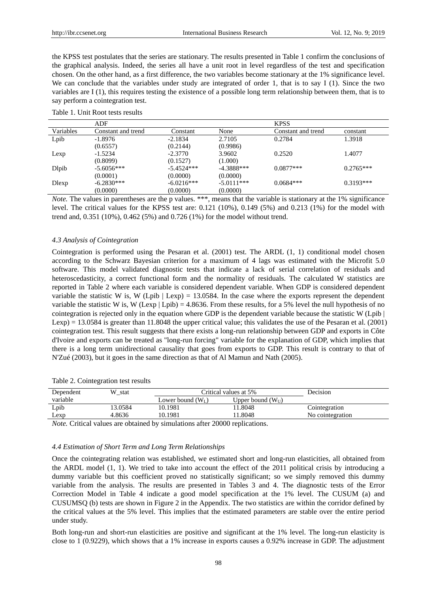the KPSS test postulates that the series are stationary. The results presented in Table 1 confirm the conclusions of the graphical analysis. Indeed, the series all have a unit root in level regardless of the test and specification chosen. On the other hand, as a first difference, the two variables become stationary at the 1% significance level. We can conclude that the variables under study are integrated of order 1, that is to say I (1). Since the two variables are I (1), this requires testing the existence of a possible long term relationship between them, that is to say perform a cointegration test.

|               | ADF                |              |              | <b>KPSS</b>        |             |
|---------------|--------------------|--------------|--------------|--------------------|-------------|
| Variables     | Constant and trend | Constant     | None         | Constant and trend | constant    |
| Lpib          | $-1.8976$          | $-2.1834$    | 2.7105       | 0.2784             | 1.3918      |
|               | (0.6557)           | (0.2144)     | (0.9986)     |                    |             |
| Lexp          | $-1.5234$          | $-2.3770$    | 3.9602       | 0.2520             | 1.4077      |
|               | (0.8099)           | (0.1527)     | (1.000)      |                    |             |
| <b>D</b> lpib | $-5.6056***$       | $-5.4524***$ | $-4.3888***$ | $0.0877***$        | $0.2765***$ |
|               | (0.0001)           | (0.0000)     | (0.0000)     |                    |             |
| Dlexp         | $-6.2830***$       | $-6.0216***$ | $-5.0111***$ | $0.0684***$        | $0.3193***$ |
|               | (0.0000)           | (0.0000)     | (0.0000)     |                    |             |

Table 1. Unit Root tests results

*Note.* The values in parentheses are the p values. \*\*\*, means that the variable is stationary at the 1% significance level. The critical values for the KPSS test are: 0.121 (10%), 0.149 (5%) and 0.213 (1%) for the model with trend and, 0.351 (10%), 0.462 (5%) and 0.726 (1%) for the model without trend.

#### *4.3 Analysis of Cointegration*

Cointegration is performed using the Pesaran et al. (2001) test. The ARDL (1, 1) conditional model chosen according to the Schwarz Bayesian criterion for a maximum of 4 lags was estimated with the Microfit 5.0 software. This model validated diagnostic tests that indicate a lack of serial correlation of residuals and heteroscedasticity, a correct functional form and the normality of residuals. The calculated W statistics are reported in Table 2 where each variable is considered dependent variable. When GDP is considered dependent variable the statistic W is, W (Lpib | Lexp) = 13.0584. In the case where the exports represent the dependent variable the statistic W is, W (Lexp | Lpib) = 4.8636. From these results, for a 5% level the null hypothesis of no cointegration is rejected only in the equation where GDP is the dependent variable because the statistic W (Lpib  $\vert$ Lexp) = 13.0584 is greater than 11.8048 the upper critical value; this validates the use of the Pesaran et al. (2001) cointegration test. This result suggests that there exists a long-run relationship between GDP and exports in Côte d'Ivoire and exports can be treated as "long-run forcing" variable for the explanation of GDP, which implies that there is a long term unidirectional causality that goes from exports to GDP. This result is contrary to that of N'Zué (2003), but it goes in the same direction as that of Al Mamun and Nath (2005).

| Dependent | W<br>stat |                     | Critical values at 5%  |                  |
|-----------|-----------|---------------------|------------------------|------------------|
| variable  |           | Lower bound $(W_I)$ | Upper bound $(W_{II})$ |                  |
| Lpib      | 13.0584   | 10.1981             | 1.8048                 | Cointegration    |
| Lexp      | 4.8636    | 10.1981             | 1.8048                 | No cointegration |

Table 2. Cointegration test results

*Note.* Critical values are obtained by simulations after 20000 replications.

## *4.4 Estimation of Short Term and Long Term Relationships*

Once the cointegrating relation was established, we estimated short and long-run elasticities, all obtained from the ARDL model (1, 1). We tried to take into account the effect of the 2011 political crisis by introducing a dummy variable but this coefficient proved no statistically significant; so we simply removed this dummy variable from the analysis. The results are presented in Tables 3 and 4. The diagnostic tests of the Error Correction Model in Table 4 indicate a good model specification at the 1% level. The CUSUM (a) and CUSUMSQ (b) tests are shown in Figure 2 in the Appendix. The two statistics are within the corridor defined by the critical values at the 5% level. This implies that the estimated parameters are stable over the entire period under study.

Both long-run and short-run elasticities are positive and significant at the 1% level. The long-run elasticity is close to 1 (0.9229), which shows that a 1% increase in exports causes a 0.92% increase in GDP. The adjustment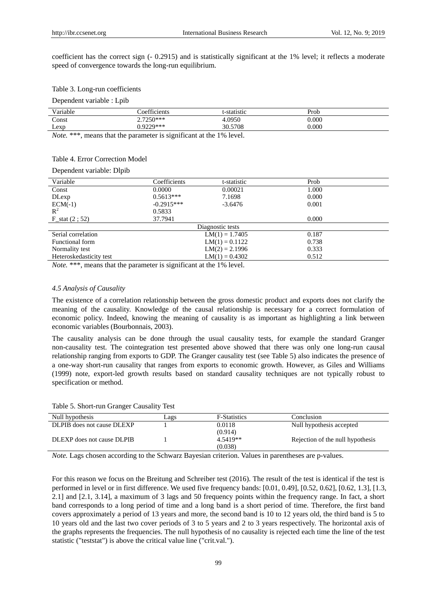coefficient has the correct sign (- 0.2915) and is statistically significant at the 1% level; it reflects a moderate speed of convergence towards the long-run equilibrium.

#### Table 3. Long-run coefficients

Dependent variable : Lpib

| Variable | oefficients                    | t-statistic             | Prob      |
|----------|--------------------------------|-------------------------|-----------|
| Const    | $27250***$<br>$\sim \sim \sim$ | +.0950                  | $0.000\,$ |
| Lexp     | $0770***$                      | .5708<br>$30.5^{\circ}$ | 0.000     |

*Note.* \*\*\*, means that the parameter is significant at the 1% level.

# Table 4. Error Correction Model

Dependent variable: Dlpib

| Coefficients     | t-statistic | Prob                                                                         |  |  |
|------------------|-------------|------------------------------------------------------------------------------|--|--|
| 0.0000           | 0.00021     | 1.000                                                                        |  |  |
| $0.5613***$      | 7.1698      | 0.000                                                                        |  |  |
| $-0.2915***$     | $-3.6476$   | 0.001                                                                        |  |  |
| 0.5833           |             |                                                                              |  |  |
| 37.7941          |             | 0.000                                                                        |  |  |
| Diagnostic tests |             |                                                                              |  |  |
|                  |             | 0.187                                                                        |  |  |
|                  |             | 0.738                                                                        |  |  |
|                  |             | 0.333                                                                        |  |  |
|                  |             | 0.512                                                                        |  |  |
|                  |             | $LM(1) = 1.7405$<br>$LM(1) = 0.1122$<br>$LM(2) = 2.1996$<br>$LM(1) = 0.4302$ |  |  |

*Note.* \*\*\*, means that the parameter is significant at the 1% level.

## *4.5 Analysis of Causality*

The existence of a correlation relationship between the gross domestic product and exports does not clarify the meaning of the causality. Knowledge of the causal relationship is necessary for a correct formulation of economic policy. Indeed, knowing the meaning of causality is as important as highlighting a link between economic variables (Bourbonnais, 2003).

The causality analysis can be done through the usual causality tests, for example the standard Granger non-causality test. The cointegration test presented above showed that there was only one long-run causal relationship ranging from exports to GDP. The Granger causality test (see Table 5) also indicates the presence of a one-way short-run causality that ranges from exports to economic growth. However, as Giles and Williams (1999) note, export-led growth results based on standard causality techniques are not typically robust to specification or method.

| Null hypothesis            | Lags | <b>F-Statistics</b> | Conclusion                       |
|----------------------------|------|---------------------|----------------------------------|
| DLPIB does not cause DLEXP |      | 0.0118              | Null hypothesis accepted         |
|                            |      | (0.914)             |                                  |
| DLEXP does not cause DLPIB |      | 4.5419**            | Rejection of the null hypothesis |
|                            |      | (0.038)             |                                  |

*Note.* Lags chosen according to the Schwarz Bayesian criterion. Values in parentheses are p-values.

For this reason we focus on the Breitung and Schreiber test (2016). The result of the test is identical if the test is performed in level or in first difference. We used five frequency bands: [0.01, 0.49], [0.52, 0.62], [0.62, 1.3], [1.3, 2.1] and [2.1, 3.14], a maximum of 3 lags and 50 frequency points within the frequency range. In fact, a short band corresponds to a long period of time and a long band is a short period of time. Therefore, the first band covers approximately a period of 13 years and more, the second band is 10 to 12 years old, the third band is 5 to 10 years old and the last two cover periods of 3 to 5 years and 2 to 3 years respectively. The horizontal axis of the graphs represents the frequencies. The null hypothesis of no causality is rejected each time the line of the test statistic ("teststat") is above the critical value line ("crit.val.").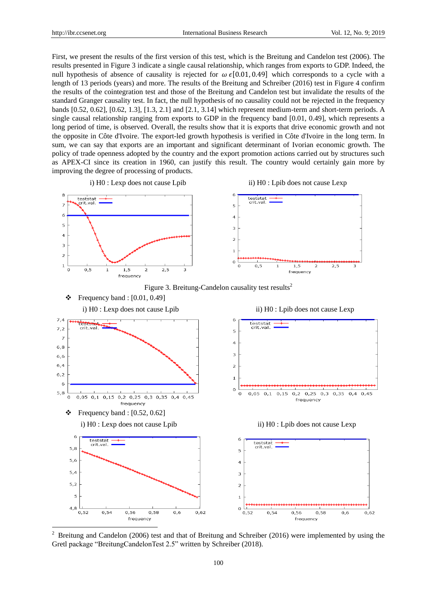-

First, we present the results of the first version of this test, which is the Breitung and Candelon test (2006). The results presented in Figure 3 indicate a single causal relationship, which ranges from exports to GDP. Indeed, the null hypothesis of absence of causality is rejected for  $\omega \in [0.01, 0.49]$  which corresponds to a cycle with a length of 13 periods (years) and more. The results of the Breitung and Schreiber (2016) test in Figure 4 confirm the results of the cointegration test and those of the Breitung and Candelon test but invalidate the results of the standard Granger causality test. In fact, the null hypothesis of no causality could not be rejected in the frequency bands [0.52, 0.62], [0.62, 1.3], [1.3, 2.1] and [2.1, 3.14] which represent medium-term and short-term periods. A single causal relationship ranging from exports to GDP in the frequency band [0.01, 0.49], which represents a long period of time, is observed. Overall, the results show that it is exports that drive economic growth and not the opposite in Côte d'Ivoire. The export-led growth hypothesis is verified in Côte d'Ivoire in the long term. In sum, we can say that exports are an important and significant determinant of Ivorian economic growth. The policy of trade openness adopted by the country and the export promotion actions carried out by structures such as APEX-CI since its creation in 1960, can justify this result. The country would certainly gain more by improving the degree of processing of products.



<sup>2</sup> Breitung and Candelon (2006) test and that of Breitung and Schreiber (2016) were implemented by using the Gretl package "BreitungCandelonTest 2.5" written by Schreiber (2018).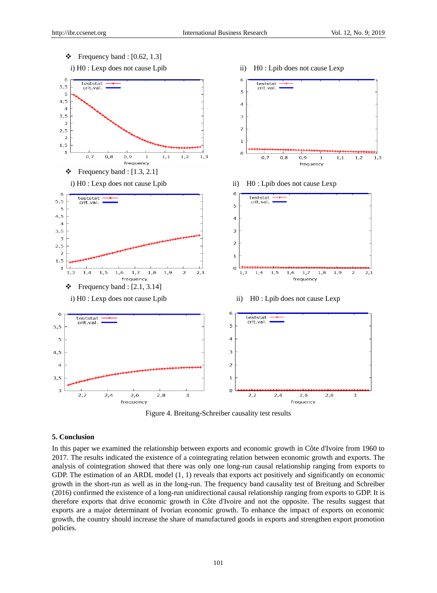



## **5. Conclusion**

In this paper we examined the relationship between exports and economic growth in Côte d'Ivoire from 1960 to 2017. The results indicated the existence of a cointegrating relation between economic growth and exports. The analysis of cointegration showed that there was only one long-run causal relationship ranging from exports to GDP. The estimation of an ARDL model  $(1, 1)$  reveals that exports act positively and significantly on economic growth in the short-run as well as in the long-run. The frequency band causality test of Breitung and Schreiber (2016) confirmed the existence of a long-run unidirectional causal relationship ranging from exports to GDP. It is therefore exports that drive economic growth in Côte d'Ivoire and not the opposite. The results suggest that exports are a major determinant of Ivorian economic growth. To enhance the impact of exports on economic growth, the country should increase the share of manufactured goods in exports and strengthen export promotion policies.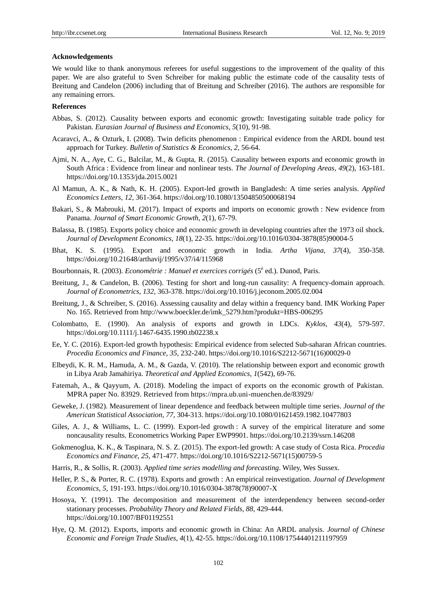## **Acknowledgements**

We would like to thank anonymous referees for useful suggestions to the improvement of the quality of this paper. We are also grateful to Sven Schreiber for making public the estimate code of the causality tests of Breitung and Candelon (2006) including that of Breitung and Schreiber (2016). The authors are responsible for any remaining errors.

# **References**

- Abbas, S. (2012). Causality between exports and economic growth: Investigating suitable trade policy for Pakistan. *Eurasian Journal of Business and Economics*, *5*(10), 91-98.
- Acaravci, A., & Ozturk, I. (2008). Twin deficits phenomenon : Empirical evidence from the ARDL bound test approach for Turkey. *Bulletin of Statistics & Economics*, *2,* 56-64.
- Ajmi, N. A., Aye, C. G., Balcilar, M., & Gupta, R. (2015). Causality between exports and economic growth in South Africa : Evidence from linear and nonlinear tests. *The Journal of Developing Areas*, *49*(2), 163-181. https://doi.org/10.1353/jda.2015.0021
- Al Mamun, A. K., & Nath, K. H. (2005). Export-led growth in Bangladesh: A time series analysis. *Applied Economics Letters*, *12,* 361-364. https://doi.org/10.1080/13504850500068194
- Bakari, S., & Mabrouki, M. (2017). Impact of exports and imports on economic growth : New evidence from Panama. *Journal of Smart Economic Growth*, *2*(1), 67-79.
- Balassa, B. (1985). Exports policy choice and economic growth in developing countries after the 1973 oil shock. *Journal of Development Economics*, *18*(1), 22-35. https://doi.org/10.1016/0304-3878(85)90004-5
- Bhat, K. S. (1995). Export and economic growth in India. *Artha Vijana*, *37*(4), 350-358. https://doi.org/10.21648/arthavij/1995/v37/i4/115968
- Bourbonnais, R. (2003). *Econométrie : Manuel et exercices corrigés* (5<sup>è</sup> ed.). Dunod, Paris.
- Breitung, J., & Candelon, B. (2006). Testing for short and long-run causality: A frequency-domain approach. *Journal of Econometrics*, *132,* 363-378. https://doi.org/10.1016/j.jeconom.2005.02.004
- Breitung, J., & Schreiber, S. (2016). Assessing causality and delay within a frequency band. IMK Working Paper No. 165. Retrieved from http://www.boeckler.de/imk\_5279.htm?produkt=HBS-006295
- Colombatto, E. (1990). [An analysis of exports and growth in LDCs.](https://ideas.repec.org/a/bla/kyklos/v43y1990i4p579-97.html) *[Kyklos](https://ideas.repec.org/s/bla/kyklos.html)*, *43*(4), 579-597. https://doi.org/10.1111/j.1467-6435.1990.tb02238.x
- Ee, Y. C. (2016). Export-led growth hypothesis: Empirical evidence from selected Sub-saharan African countries. *Procedia Economics and Finance*, *35,* 232-240. https://doi.org/10.1016/S2212-5671(16)00029-0
- Elbeydi, K. R. M., Hamuda, A. M., & Gazda, V. (2010). The relationship between export and economic growth in Libya Arab Jamahiriya. *Theoretical and Applied Economics*, *1*(542), 69-76.
- Fatemah, A., & Qayyum, A. (2018). Modeling the impact of exports on the economic growth of Pakistan. MPRA paper No. 83929. Retrieved from https://mpra.ub.uni-muenchen.de/83929/
- Geweke, J. (1982). Measurement of linear dependence and feedback between multiple time series. *Journal of the American Statistical Association*, *77,* 304-313. https://doi.org/10.1080/01621459.1982.10477803
- Giles, A. J., & Williams, L. C. (1999). Export-led growth : A survey of the empirical literature and some noncausality results. Econometrics Working Paper EWP9901. https://doi.org/10.2139/ssrn.146208
- Gokmenoglua, K. K., & Taspinara, N. S. Z. (2015). The export-led growth: A case study of Costa Rica. *Procedia Economics and Finance*, *25,* 471-477. https://doi.org/10.1016/S2212-5671(15)00759-5
- Harris, R., & Sollis, R. (2003). *Applied time series modelling and forecasting*. Wiley, Wes Sussex.
- Heller, P. S., & Porter, R. C. (1978). Exports and growth : An empirical reinvestigation. *Journal of Development Economics*, *5,* 191-193. https://doi.org/10.1016/0304-3878(78)90007-X
- Hosoya, Y. (1991). The decomposition and measurement of the interdependency between second-order stationary processes. *Probability Theory and Related Fields*, *88,* 429-444. https://doi.org/10.1007/BF01192551
- Hye, Q. M. (2012). Exports, imports and economic growth in China: An ARDL analysis. *Journal of Chinese Economic and Foreign Trade Studies*, *4*(1), 42-55. https://doi.org/10.1108/17544401211197959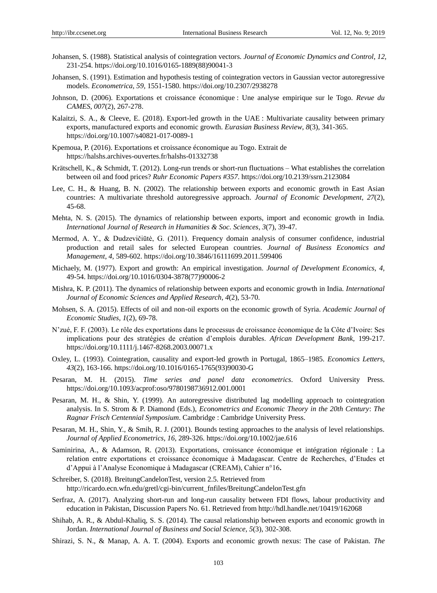- Johansen, S. (1988). Statistical analysis of cointegration vectors. *Journal of Economic Dynamics and Control*, *12,*  231-254. https://doi.org/10.1016/0165-1889(88)90041-3
- Johansen, S. (1991). Estimation and hypothesis testing of cointegration vectors in Gaussian vector autoregressive models. *Econometrica*, *59,* 1551-1580. https://doi.org/10.2307/2938278
- Johnson, D. (2006). Exportations et croissance économique : Une analyse empirique sur le Togo. *Revue du CAMES*, *007*(2), 267-278.
- Kalaitzi, S. A., & Cleeve, E. (2018). Export-led growth in the UAE : Multivariate causality between primary exports, manufactured exports and economic growth. *Eurasian Business Review*, *8*(3), 341-365. https://doi.org/10.1007/s40821-017-0089-1
- Kpemoua, P. (2016). Exportations et croissance économique au Togo. Extrait de <https://halshs.archives-ouvertes.fr/halshs-01332738>
- Krätschell, K., & Schmidt, T. (2012). Long-run trends or short-run fluctuations What establishes the correlation between oil and food prices? *Ruhr Economic Papers #357*. https://doi.org/10.2139/ssrn.2123084
- Lee, C. H., & Huang, B. N. (2002). The relationship between exports and economic growth in East Asian countries: A multivariate threshold autoregressive approach. *Journal of Economic Development*, *27*(2), 45-68.
- Mehta, N. S. (2015). The dynamics of relationship between exports, import and economic growth in India. *International Journal of Research in Humanities & Soc. Sciences*, *3*(7), 39-47.
- Mermod, A. Y., & Dudzevičiūtė, G. (2011). Frequency domain analysis of consumer confidence, industrial production and retail sales for selected European countries. *Journal of Business Economics and Management*, *4,* 589-602. https://doi.org/10.3846/16111699.2011.599406
- Michaely, M. (1977). Export and growth: An empirical investigation. *Journal of Development Economics*, *4,*  49-54. https://doi.org/10.1016/0304-3878(77)90006-2
- Mishra, K. P. (2011). The dynamics of relationship between exports and economic growth in India. *International Journal of Economic Sciences and Applied Research*, *4*(2), 53-70.
- Mohsen, S. A. (2015). Effects of oil and non-oil exports on the economic growth of Syria. *Academic Journal of Economic Studies*, *1*(2), 69-78.
- N'zué, F. F. (2003). Le rôle des exportations dans le processus de croissance économique de la Côte d'Ivoire: Ses implications pour des stratégies de création d'emplois durables. *African Development Bank*, 199-217. https://doi.org/10.1111/j.1467-8268.2003.00071.x
- Oxley, L. (1993). Cointegration, causality and export-led growth in Portugal, 1865–1985. *Economics Letters*, *43*(2), 163-166. https://doi.org/10.1016/0165-1765(93)90030-G
- Pesaran, M. H. (2015). *Time series and panel data econometrics*. Oxford University Press. https://doi.org/10.1093/acprof:oso/9780198736912.001.0001
- Pesaran, M. H., & Shin, Y. (1999). An autoregressive distributed lag modelling approach to cointegration analysis. In S. Strom & P. Diamond (Eds.), *Econometrics and Economic Theory in the 20th Century*: *The Ragnar Frisch Centennial Symposium*. Cambridge : Cambridge University Press.
- Pesaran, M. H., Shin, Y., & Smih, R. J. (2001). Bounds testing approaches to the analysis of level relationships. *Journal of Applied Econometrics*, *16,* 289-326. https://doi.org/10.1002/jae.616
- Saminirina, A., & Adamson, R. (2013). Exportations, croissance économique et intégration régionale : La relation entre exportations et croissance économique à Madagascar. Centre de Recherches, d'Etudes et d'Appui à l'Analyse Economique à Madagascar (CREAM), Cahier n°16**.**
- Schreiber, S. (2018). BreitungCandelonTest, version 2.5. Retrieved from http://ricardo.ecn.wfn.edu/gretl/cgi-bin/current\_fnfiles/BreitungCandelonTest.gfn
- Serfraz, A. (2017). Analyzing short-run and long-run causality between FDI flows, labour productivity and education in Pakistan, Discussion Papers No. 61. Retrieved from http://hdl.handle.net/10419/162068
- Shihab, A. R., & Abdul-Khaliq, S. S. (2014). The causal relationship between exports and economic growth in Jordan. *International Journal of Business and Social Science*, *5*(3), 302-308.
- Shirazi, S. N., & Manap, A. A. T. (2004). Exports and economic growth nexus: The case of Pakistan. *The*